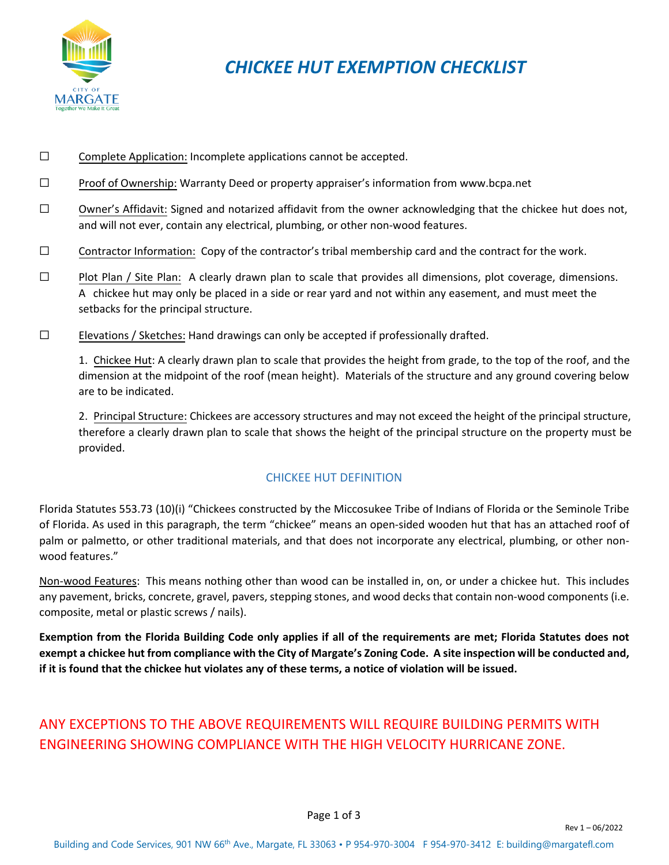

## *CHICKEE HUT EXEMPTION CHECKLIST*

- ☐ Complete Application: Incomplete applications cannot be accepted.
- ☐ Proof of Ownership: Warranty Deed or property appraiser's information from<www.bcpa.net>
- ☐ Owner's Affidavit: Signed and notarized affidavit from the owner acknowledging that the chickee hut does not, and will not ever, contain any electrical, plumbing, or other non-wood features.
- $\Box$  Contractor Information: Copy of the contractor's tribal membership card and the contract for the work.
- ☐ Plot Plan / Site Plan: A clearly drawn plan to scale that provides all dimensions, plot coverage, dimensions. A chickee hut may only be placed in a side or rear yard and not within any easement, and must meet the setbacks for the principal structure.
- $\square$  Elevations / Sketches: Hand drawings can only be accepted if professionally drafted.

1. Chickee Hut: A clearly drawn plan to scale that provides the height from grade, to the top of the roof, and the dimension at the midpoint of the roof (mean height). Materials of the structure and any ground covering below are to be indicated.

2. Principal Structure: Chickees are accessory structures and may not exceed the height of the principal structure, therefore a clearly drawn plan to scale that shows the height of the principal structure on the property must be provided.

## CHICKEE HUT DEFINITION

Florida Statutes 553.73 (10)(i) "Chickees constructed by the Miccosukee Tribe of Indians of Florida or the Seminole Tribe of Florida. As used in this paragraph, the term "chickee" means an open-sided wooden hut that has an attached roof of palm or palmetto, or other traditional materials, and that does not incorporate any electrical, plumbing, or other nonwood features."

Non-wood Features: This means nothing other than wood can be installed in, on, or under a chickee hut. This includes any pavement, bricks, concrete, gravel, pavers, stepping stones, and wood decks that contain non-wood components (i.e. composite, metal or plastic screws / nails).

**Exemption from the Florida Building Code only applies if all of the requirements are met; Florida Statutes does not exempt a chickee hut from compliance with the City of Margate's Zoning Code. A site inspection will be conducted and, if it is found that the chickee hut violates any of these terms, a notice of violation will be issued.** 

## ANY EXCEPTIONS TO THE ABOVE REQUIREMENTS WILL REQUIRE BUILDING PERMITS WITH ENGINEERING SHOWING COMPLIANCE WITH THE HIGH VELOCITY HURRICANE ZONE.

Rev 1 – 06/2022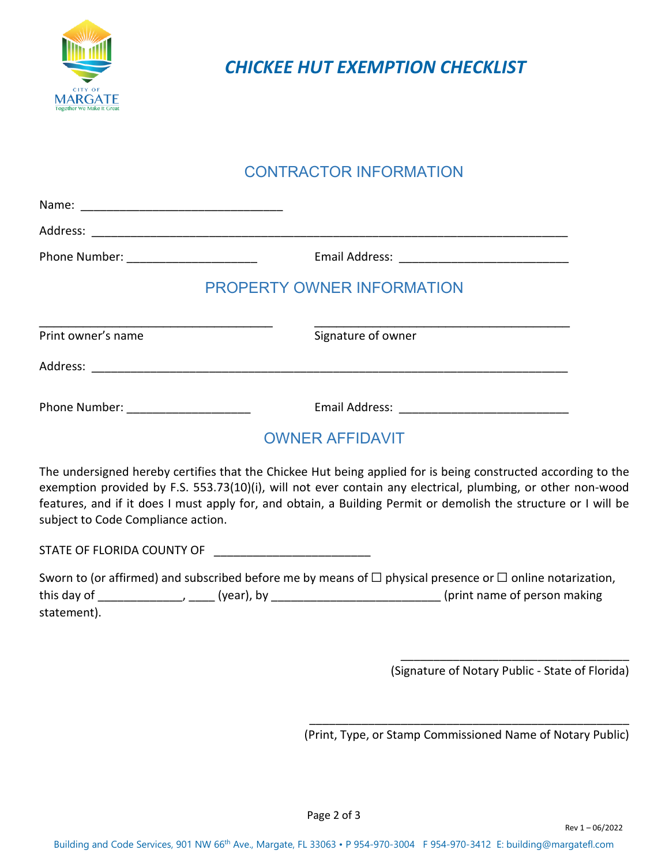

*CHICKEE HUT EXEMPTION CHECKLIST* 

## CONTRACTOR INFORMATION

| Phone Number: _____________________ |                            |
|-------------------------------------|----------------------------|
|                                     | PROPERTY OWNER INFORMATION |
| Print owner's name                  | Signature of owner         |
|                                     |                            |
| Phone Number: ____________________  |                            |
|                                     | <b>OWNER AFFIDAVIT</b>     |

The undersigned hereby certifies that the Chickee Hut being applied for is being constructed according to the exemption provided by F.S. 553.73(10)(i), will not ever contain any electrical, plumbing, or other non-wood features, and if it does I must apply for, and obtain, a Building Permit or demolish the structure or I will be subject to Code Compliance action.

STATE OF FLORIDA COUNTY OF

| Sworn to (or affirmed) and subscribed before me by means of $\Box$ physical presence or $\Box$ online notarization, |            |                               |  |
|---------------------------------------------------------------------------------------------------------------------|------------|-------------------------------|--|
| this day of                                                                                                         | (year), by | (print name of person making) |  |
| statement).                                                                                                         |            |                               |  |

\_\_\_\_\_\_\_\_\_\_\_\_\_\_\_\_\_\_\_\_\_\_\_\_\_\_\_\_\_\_\_\_\_\_\_ (Signature of Notary Public - State of Florida)

\_\_\_\_\_\_\_\_\_\_\_\_\_\_\_\_\_\_\_\_\_\_\_\_\_\_\_\_\_\_\_\_\_\_\_\_\_\_\_\_\_\_\_\_\_\_\_\_\_ (Print, Type, or Stamp Commissioned Name of Notary Public)